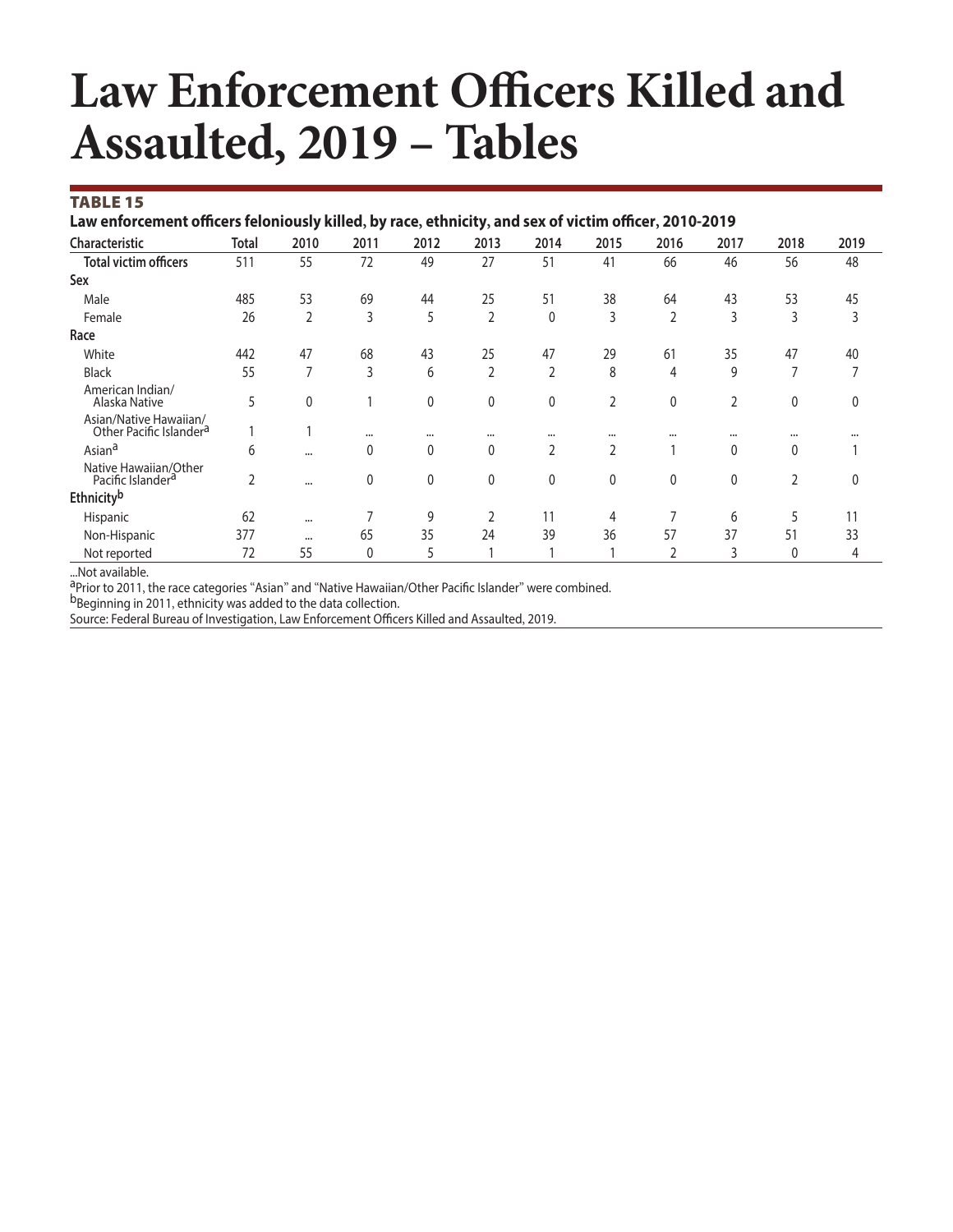# **Law Enforcement Officers Killed and Assaulted, 2019 – Tables**

#### TABLE 15

Law enforcement officers feloniously killed, by race, ethnicity, and sex of victim officer, 2010-2019

| Characteristic                                                | <b>Total</b> | 2010           | 2011         | 2012         | 2013           | 2014           | 2015     | 2016         | 2017           | 2018           | 2019         |
|---------------------------------------------------------------|--------------|----------------|--------------|--------------|----------------|----------------|----------|--------------|----------------|----------------|--------------|
| <b>Total victim officers</b>                                  | 511          | 55             | 72           | 49           | 27             | 51             | 41       | 66           | 46             | 56             | 48           |
| Sex                                                           |              |                |              |              |                |                |          |              |                |                |              |
| Male                                                          | 485          | 53             | 69           | 44           | 25             | 51             | 38       | 64           | 43             | 53             | 45           |
| Female                                                        | 26           | $\overline{2}$ | 3            | 5            | 2              | 0              | 3        | 2            | 3              | 3              | 3            |
| Race                                                          |              |                |              |              |                |                |          |              |                |                |              |
| White                                                         | 442          | 47             | 68           | 43           | 25             | 47             | 29       | 61           | 35             | 47             | 40           |
| <b>Black</b>                                                  | 55           | 7              | 3            | 6            | $\overline{2}$ | $\overline{2}$ | 8        | 4            | 9              | $\overline{ }$ | 7            |
| American Indian/<br>Alaska Native                             | 5            | 0              |              | $\mathbf{0}$ | 0              | 0              | 2        | $\mathbf{0}$ | $\overline{2}$ | $\mathbf{0}$   | $\mathbf{0}$ |
| Asian/Native Hawaiian/<br>Other Pacific Islander <sup>a</sup> |              |                | $\cdots$     | $\cdots$     |                | $\cdots$       | $\cdots$ | $\cdots$     |                | $\cdots$       | $\cdots$     |
| Asian <sup>a</sup>                                            | 6            | $\cdots$       | 0            | $\mathbf{0}$ | 0              | $\overline{2}$ | 2        |              | 0              | 0              |              |
| Native Hawaiian/Other<br>Pacific Islander <sup>a</sup>        | 2            | $\cdots$       | 0            | $\mathbf{0}$ | 0              | 0              | 0        | 0            | 0              | $\overline{2}$ | $\mathbf{0}$ |
| Ethnicityb                                                    |              |                |              |              |                |                |          |              |                |                |              |
| Hispanic                                                      | 62           | $\cdots$       |              | 9            | $\overline{2}$ | 11             | 4        | ⇁            | 6              | 5              | 11           |
| Non-Hispanic                                                  | 377          | $\cdots$       | 65           | 35           | 24             | 39             | 36       | 57           | 37             | 51             | 33           |
| Not reported                                                  | 72           | 55             | $\mathbf{0}$ | 5            |                |                |          | h            | 3              | 0              | 4            |

...Not available.

aPrior to 2011, the race categories "Asian" and "Native Hawaiian/Other Pacific Islander" were combined.

b<sub>Beginning</sub> in 2011, ethnicity was added to the data collection.

Source: Federal Bureau of Investigation, Law Enforcement Officers Killed and Assaulted, 2019.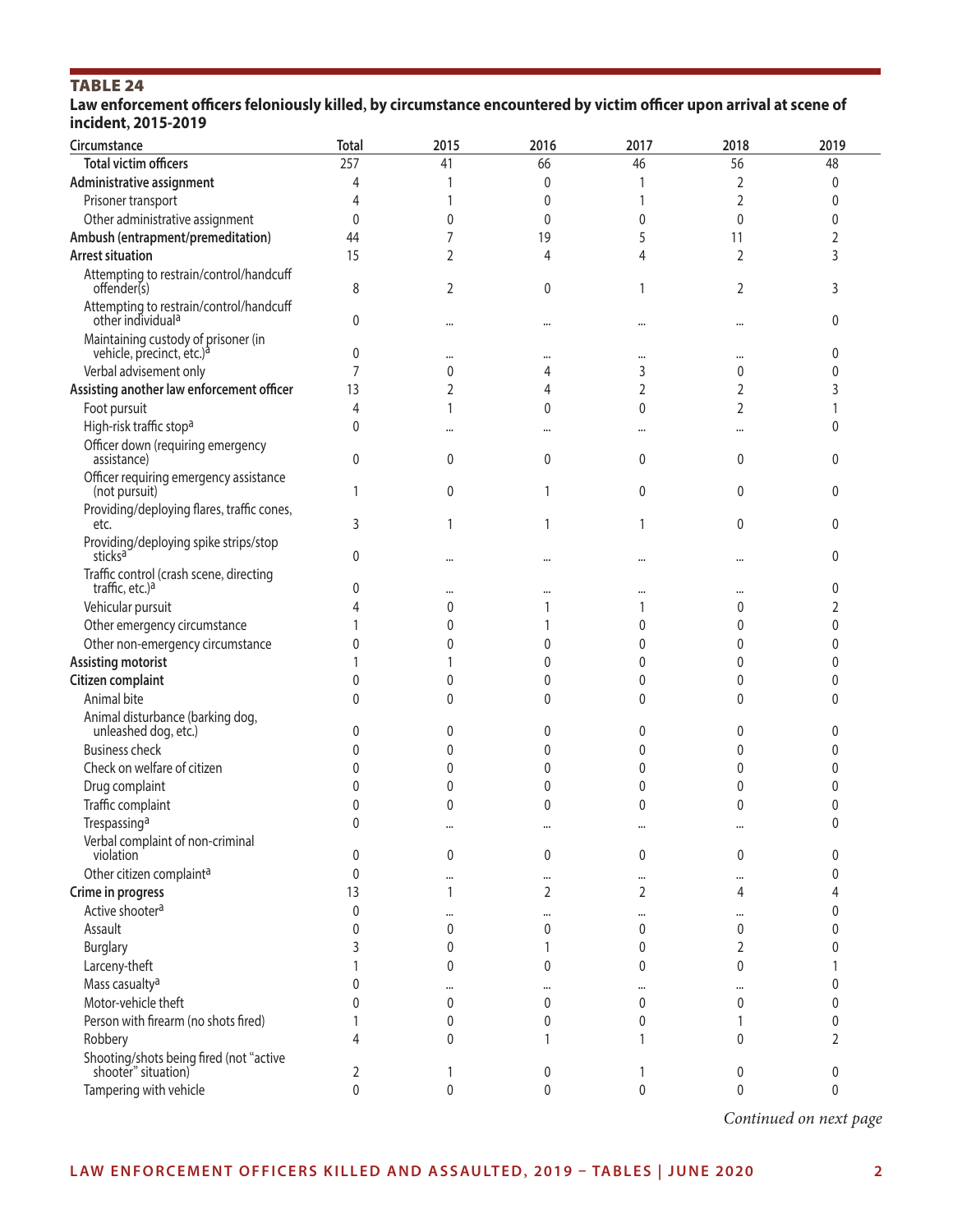# TABLE 24

Law enforcement officers feloniously killed, by circumstance encountered by victim officer upon arrival at scene of **incident, 2015-2019** 

| Circumstance                                                                 | <b>Total</b> | 2015     | 2016           | 2017     | 2018           | 2019           |
|------------------------------------------------------------------------------|--------------|----------|----------------|----------|----------------|----------------|
| <b>Total victim officers</b>                                                 | 257          | 41       | 66             | 46       | 56             | 48             |
| Administrative assignment                                                    | 4            |          | 0              |          | 2              | 0              |
| Prisoner transport                                                           | 4            |          | 0              | 1        | 2              | 0              |
| Other administrative assignment                                              | 0            | 0        | $\mathbf{0}$   | 0        | 0              | 0              |
| Ambush (entrapment/premeditation)                                            | 44           |          | 19             | 5        | 11             | $\overline{2}$ |
| <b>Arrest situation</b>                                                      | 15           | 2        | 4              | 4        | $\overline{2}$ | 3              |
| Attempting to restrain/control/handcuff<br>offender(s)                       | 8            | 2        | $\mathbf{0}$   | 1        | 2              | 3              |
| Attempting to restrain/control/handcuff<br>other individual <sup>a</sup>     | 0            | $\cdots$ | $\cdots$       | $\cdots$ | $\cdots$       | 0              |
| Maintaining custody of prisoner (in<br>vehicle, precinct, etc.) <sup>a</sup> | 0            |          |                |          | $\cdots$       | 0              |
| Verbal advisement only                                                       | 7            | 0        | 4              | 3        | 0              | 0              |
| Assisting another law enforcement officer                                    | 13           | 2        | 4              | 2        | 2              | 3              |
| Foot pursuit                                                                 | 4            | 1        | $\mathbf{0}$   | 0        | 2              |                |
| High-risk traffic stop <sup>a</sup>                                          | 0            |          |                |          | $\cdots$       | 0              |
| Officer down (requiring emergency<br>assistance)                             | 0            | 0        | 0              | 0        | 0              | 0              |
| Officer requiring emergency assistance<br>(not pursuit)                      | 1            | 0        | 1              | 0        | 0              | 0              |
| Providing/deploying flares, traffic cones,<br>etc.                           | 3            |          | 1              | 1        | 0              | 0              |
| Providing/deploying spike strips/stop<br>sticks <sup>a</sup>                 | 0            |          |                |          |                | 0              |
| Traffic control (crash scene, directing<br>traffic, etc.) <sup>a</sup>       | 0            |          |                |          | $\cdots$       | 0              |
| Vehicular pursuit                                                            |              | 0        |                |          | 0              | 2              |
| Other emergency circumstance                                                 |              | 0        |                | 0        | 0              | 0              |
| Other non-emergency circumstance                                             | 0            | 0        | 0              | 0        | 0              | 0              |
| <b>Assisting motorist</b>                                                    |              |          | 0              | 0        | 0              | 0              |
| Citizen complaint                                                            | 0            | 0        | 0              | 0        | 0              | 0              |
| Animal bite                                                                  | 0            | 0        | $\Omega$       | 0        | 0              | 0              |
| Animal disturbance (barking dog,<br>unleashed dog, etc.)                     | 0            | 0        | 0              | 0        | 0              | 0              |
| <b>Business check</b>                                                        | 0            | 0        | 0              | 0        | 0              | 0              |
| Check on welfare of citizen                                                  | 0            | 0        | 0              | 0        | 0              | 0              |
| Drug complaint                                                               | 0            | 0        | 0              | 0        | 0              | 0              |
| Traffic complaint                                                            |              | 0        | $\mathbf{0}$   | 0        | 0              | 0              |
| Trespassing <sup>a</sup>                                                     | 0            | $\cdots$ | $\ddotsc$      |          | $\cdots$       | 0              |
| Verbal complaint of non-criminal<br>violation                                | 0            | 0        | $\mathbf{0}$   | 0        | 0              | 0              |
| Other citizen complaint <sup>a</sup>                                         | 0            |          | $\cdots$       |          |                | 0              |
| Crime in progress                                                            | 13           | 1        | $\overline{2}$ | 2        | 4              | 4              |
| Active shooter <sup>a</sup>                                                  | $\mathbf{0}$ | $\cdots$ |                |          | $\cdots$       | 0              |
| Assault                                                                      | 0            | 0        | $\mathbf{0}$   | 0        | 0              | 0              |
| <b>Burglary</b>                                                              |              | 0        | 1              | 0        | 2              | 0              |
| Larceny-theft                                                                |              | 0        | $\mathbf{0}$   | 0        | 0              | 1              |
| Mass casualty <sup>a</sup>                                                   | Λ            | $\cdots$ | $\cdots$       | $\cdots$ | $\cdots$       | 0              |
| Motor-vehicle theft                                                          | Ω            | 0        | $\mathbf{0}$   | 0        | 0              | 0              |
| Person with firearm (no shots fired)                                         |              | 0        | 0              | 0        |                | 0              |
| Robbery<br>Shooting/shots being fired (not "active                           | 4            | 0        |                |          | 0              | $\overline{2}$ |
| shooter" situation)                                                          | 2            |          | 0              |          | 0              | 0              |
| Tampering with vehicle                                                       | $\pmb{0}$    | 0        | $\mathbf 0$    | 0        | 0              | 0              |

*Continued on next page*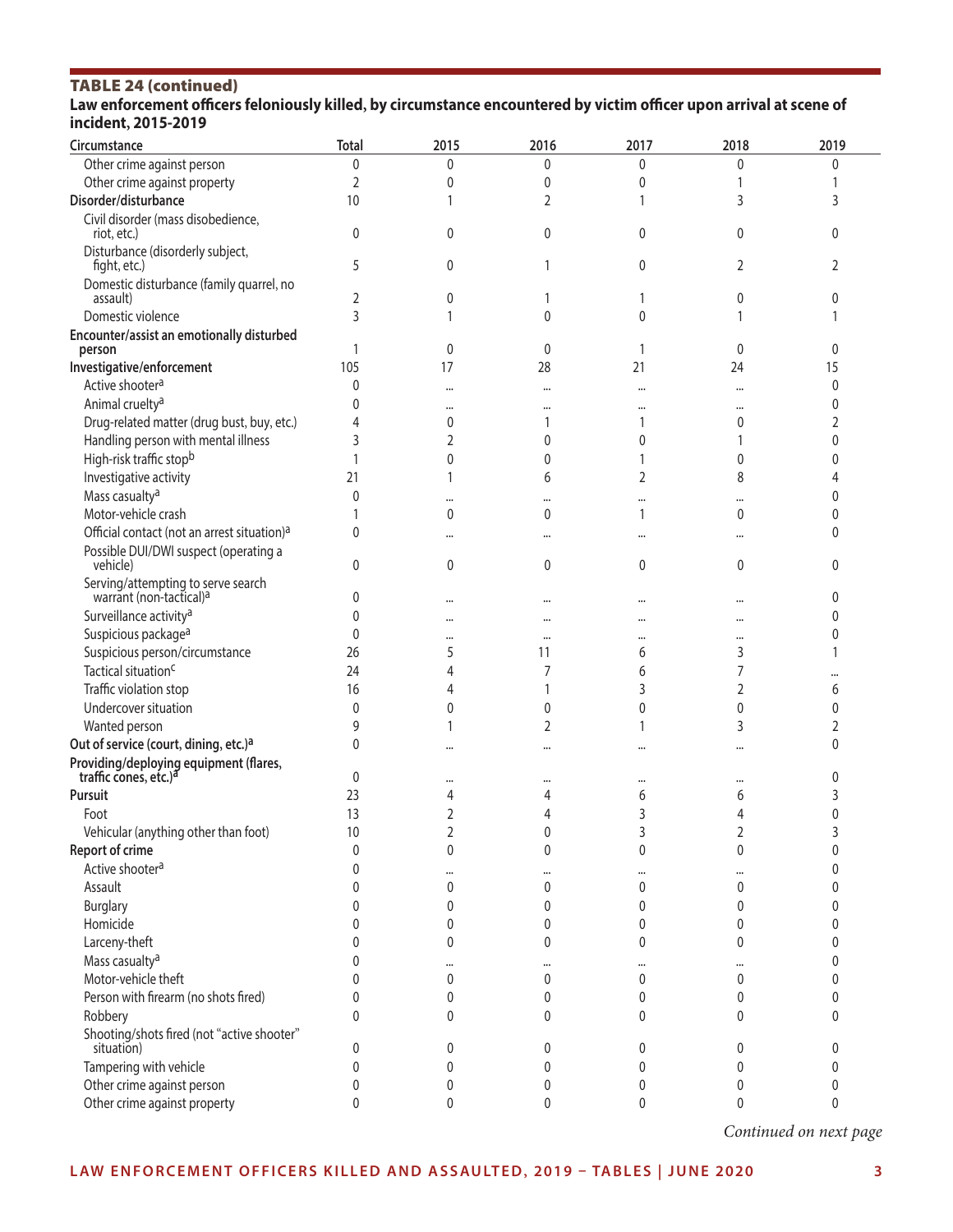## TABLE 24 (continued) Law enforcement officers feloniously killed, by circumstance encountered by victim officer upon arrival at scene of **incident, 2015-2019**

| Circumstance                                                                | <b>Total</b> | 2015           | 2016         | 2017                 | 2018            | 2019         |
|-----------------------------------------------------------------------------|--------------|----------------|--------------|----------------------|-----------------|--------------|
| Other crime against person                                                  | 0            | 0              | 0            | 0                    | 0               | 0            |
| Other crime against property                                                | 2            | 0              | 0            | 0                    |                 |              |
| Disorder/disturbance                                                        | 10           |                | 2            |                      | 3               | 3            |
| Civil disorder (mass disobedience,<br>riot, etc.)                           | 0            | 0              | $\mathbf{0}$ | $\mathbf{0}$         | $\mathbf{0}$    | 0            |
| Disturbance (disorderly subject,<br>fight, etc.)                            | 5            | 0              |              | 0                    | $\overline{2}$  | 2            |
| Domestic disturbance (family quarrel, no                                    |              |                |              |                      | 0               | 0            |
| assault)<br>Domestic violence                                               | 2<br>3       | 0              | 0            | 0                    |                 |              |
| Encounter/assist an emotionally disturbed                                   |              |                |              |                      |                 |              |
| person                                                                      |              | 0              | 0            | 1                    | $\mathbf{0}$    | 0            |
| Investigative/enforcement                                                   | 105          | 17             | 28           | 21                   | 24              | 15           |
| Active shooter <sup>a</sup>                                                 | $\mathbf{0}$ |                | $\cdots$     | $\ddot{\phantom{a}}$ |                 | 0            |
| Animal cruelty <sup>a</sup>                                                 |              |                |              |                      |                 | 0            |
| Drug-related matter (drug bust, buy, etc.)                                  |              | 0              |              |                      | $\mathbf 0$     | 2            |
| Handling person with mental illness                                         | 3            | 2              | 0            | 0                    |                 | $\mathbf{0}$ |
| High-risk traffic stopb                                                     |              | 0              | 0            |                      | 0               | 0            |
| Investigative activity                                                      | 21           |                | 6            | 2                    | 8               |              |
| Mass casualty <sup>a</sup>                                                  | 0            |                |              |                      |                 | 0            |
| Motor-vehicle crash                                                         |              | 0              | 0            | 1                    | $\mathbf{0}$    | 0            |
| Official contact (not an arrest situation) <sup>a</sup>                     | 0            |                |              | $\ddot{\phantom{a}}$ |                 | $\Omega$     |
| Possible DUI/DWI suspect (operating a<br>vehicle)                           | 0            | 0              | 0            | $\mathbf 0$          | $\mathbf{0}$    | 0            |
| Serving/attempting to serve search<br>warrant (non-tactical) <sup>a</sup>   | 0            |                |              |                      |                 | 0            |
| Surveillance activity <sup>a</sup>                                          | 0            |                |              |                      |                 | $\Omega$     |
| Suspicious package <sup>a</sup>                                             | 0            |                |              |                      |                 | $\mathbf{0}$ |
| Suspicious person/circumstance                                              | 26           | 5              | 11           | 6                    | 3               |              |
| Tactical situation <sup>c</sup>                                             | 24           | 4              | 7            | 6                    | 7               |              |
| Traffic violation stop                                                      | 16           | 4              |              | 3                    | 2               | 6            |
| Undercover situation                                                        | 0            | 0              | 0            | 0                    | 0               | $\Omega$     |
| Wanted person                                                               | 9            |                | 2            |                      | 3               | 2            |
| Out of service (court, dining, etc.) <sup>a</sup>                           | 0            |                |              |                      |                 | $\mathbf{0}$ |
| Providing/deploying equipment (flares,<br>traffic cones, etc.) <sup>a</sup> | 0            |                |              | $\cdots$             | $\cdots$        | 0            |
| Pursuit                                                                     | 23           | 4              | 4            | 6                    | 6               |              |
| Foot                                                                        | 13           | 2              |              | 3                    | 4               | 0            |
| Vehicular (anything other than foot)                                        | $10$         | $\overline{2}$ |              |                      | 2               |              |
| <b>Report of crime</b>                                                      | 0            | 0              | 0            | 0                    | 0               |              |
| Active shooter <sup>a</sup>                                                 | $\Omega$     |                | $\cdots$     |                      |                 | 0            |
| Assault                                                                     |              | 0              | 0            | 0                    | 0               | $\Omega$     |
| <b>Burglary</b>                                                             |              | 0              | 0            | 0                    | 0               | $\mathbf{0}$ |
| Homicide                                                                    |              | 0              | 0            | 0                    | 0               | $\mathbf{0}$ |
| Larceny-theft                                                               |              | 0              | 0            | 0                    | 0               | $\mathbf{0}$ |
| Mass casualty <sup>a</sup>                                                  | 0            |                |              |                      |                 | $\mathbf{0}$ |
| Motor-vehicle theft                                                         | 0            | 0              | <br>0        | 0                    | <br>$\mathbf 0$ | $\mathbf{0}$ |
| Person with firearm (no shots fired)                                        | 0            | 0              | 0            | 0                    | 0               | $\mathbf{0}$ |
| Robbery                                                                     | 0            | 0              | 0            | 0                    | 0               | 0            |
| Shooting/shots fired (not "active shooter"<br>situation)                    | 0            | 0              | 0            | 0                    | 0               | 0            |
| Tampering with vehicle                                                      | 0            | 0              | 0            | 0                    | 0               | 0            |
| Other crime against person                                                  | 0            | 0              | 0            | 0                    | 0               | 0            |
| Other crime against property                                                | 0            | 0              | 0            | 0                    | 0               | 0            |

*Continued on next page*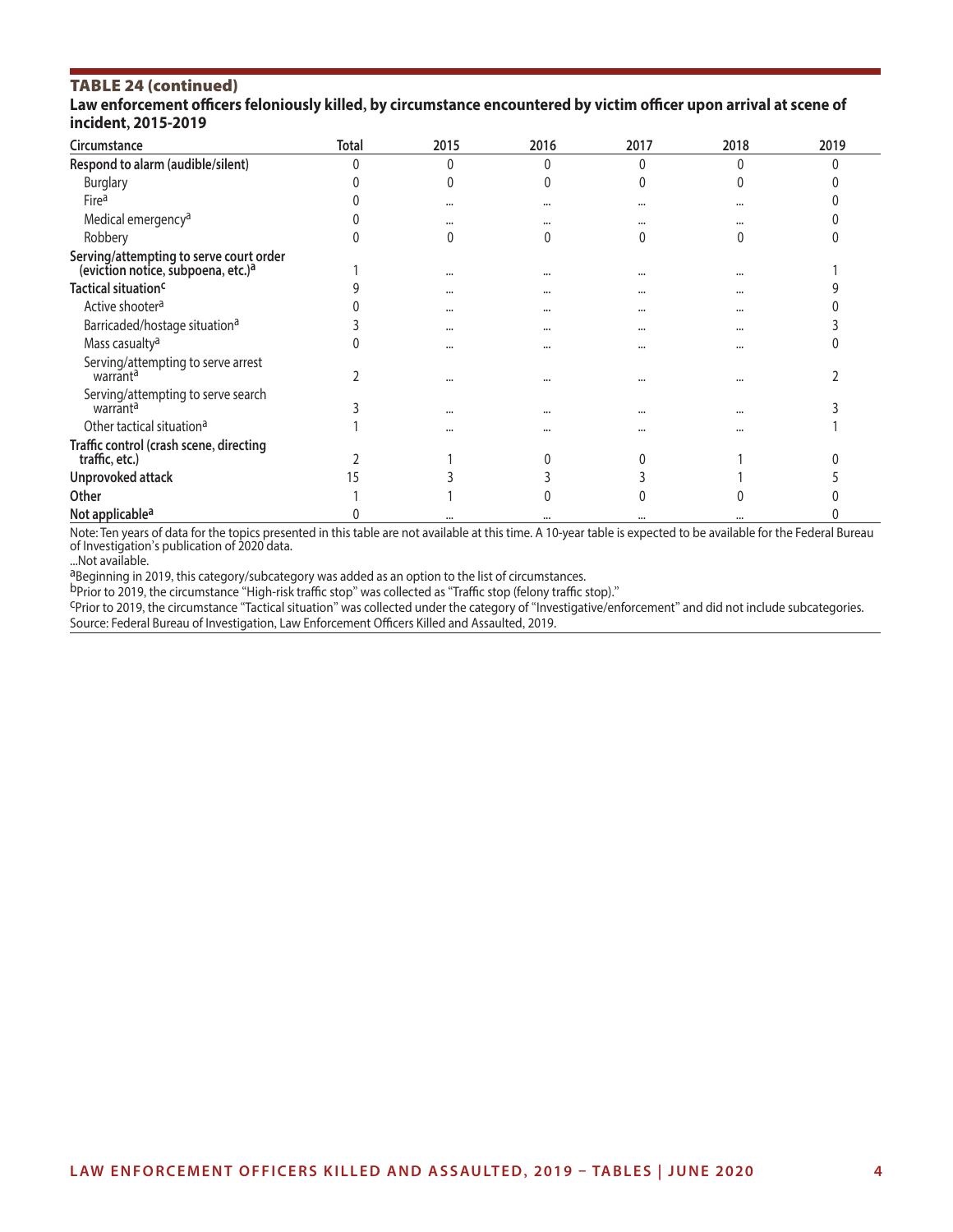### TABLE 24 (continued)

#### Law enforcement officers feloniously killed, by circumstance encountered by victim officer upon arrival at scene of **incident, 2015-2019**

| Circumstance                                                                              | Total | 2015     | 2016 | 2017     | 2018     | 2019 |
|-------------------------------------------------------------------------------------------|-------|----------|------|----------|----------|------|
| Respond to alarm (audible/silent)                                                         |       |          |      |          |          |      |
| <b>Burglary</b>                                                                           |       |          |      |          |          |      |
| Firea                                                                                     |       | $\cdots$ |      |          | $\cdots$ |      |
| Medical emergency <sup>a</sup>                                                            |       |          |      |          |          |      |
| Robbery                                                                                   |       |          |      |          |          |      |
| Serving/attempting to serve court order<br>(eviction notice, subpoena, etc.) <sup>a</sup> |       | $\cdots$ |      |          | $\cdots$ |      |
| Tactical situation <sup>c</sup>                                                           |       |          |      |          | $\cdots$ |      |
| Active shooter <sup>a</sup>                                                               |       | $\cdots$ |      |          | $\cdots$ |      |
| Barricaded/hostage situation <sup>a</sup>                                                 |       | $\cdots$ |      | $\cdots$ | $\cdots$ |      |
| Mass casualty <sup>a</sup>                                                                |       |          |      |          | $\cdots$ |      |
| Serving/attempting to serve arrest<br>warrant <sup>a</sup>                                |       |          |      |          | $\cdots$ |      |
| Serving/attempting to serve search<br>warrant <sup>a</sup>                                |       |          |      | $\cdots$ | $\cdots$ |      |
| Other tactical situation <sup>a</sup>                                                     |       |          |      |          |          |      |
| Traffic control (crash scene, directing<br>traffic, etc.)                                 |       |          |      |          |          |      |
| Unprovoked attack                                                                         |       |          |      |          |          |      |
| Other                                                                                     |       |          |      |          |          |      |
| Not applicable <sup>a</sup>                                                               |       | $\cdots$ |      |          | $\cdots$ |      |

Note: Ten years of data for the topics presented in this table are not available at this time. A 10-year table is expected to be available for the Federal Bureau of Investigation's publication of 2020 data.

...Not available.<br><sup>a</sup>Beginning in 2019, this category/subcategory was added as an option to the list of circumstances.

bprior to 2019, the circumstance "High-risk traffic stop" was collected as "Traffic stop (felony traffic stop)."<br><sup>C</sup>Prior to 2019, the circumstance "Tactical situation" was collected under the category of "Investigative/en Source: Federal Bureau of Investigation, Law Enforcement Officers Killed and Assaulted, 2019.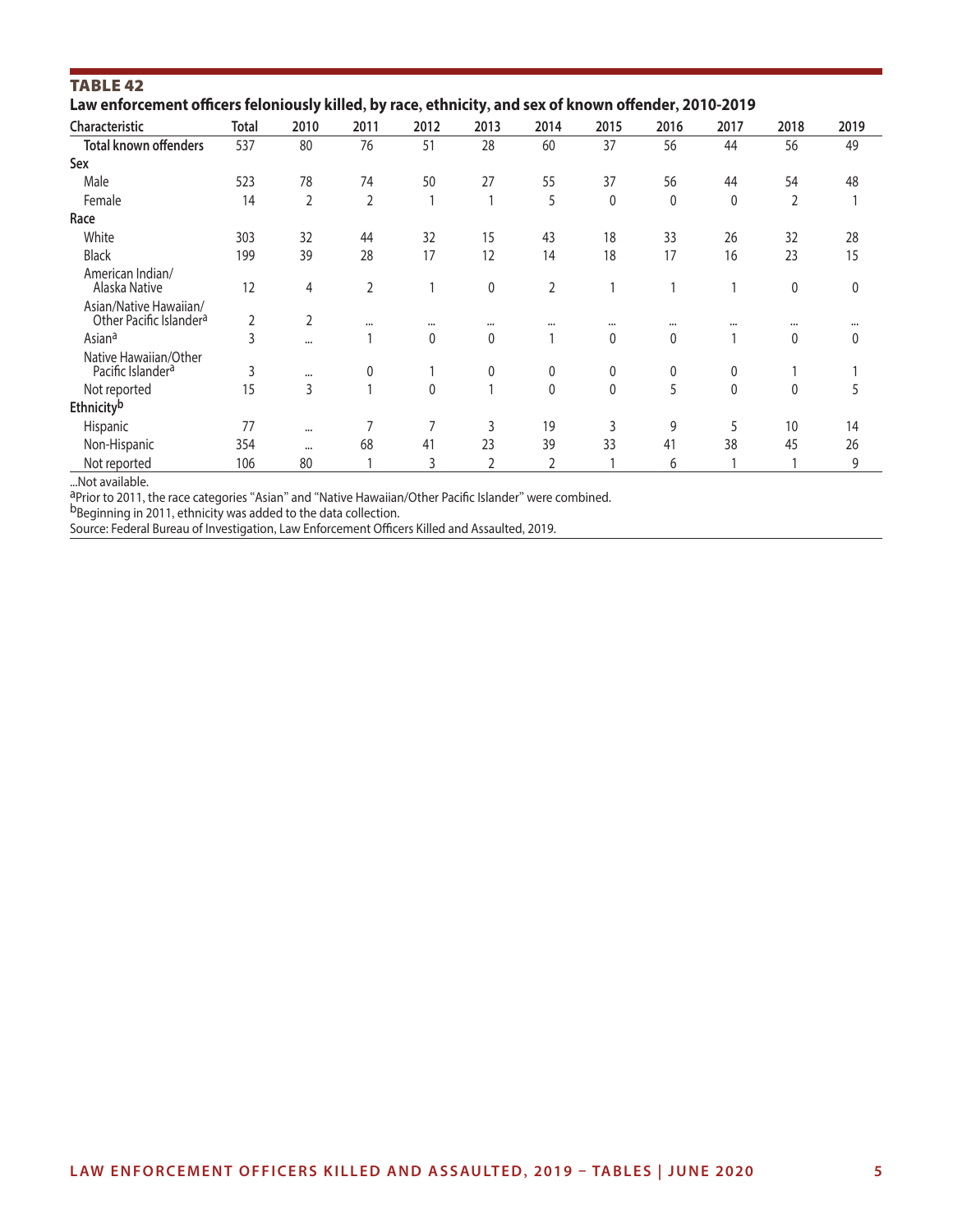| <b>TABLE 42</b>                                                                                       |              |                |                |              |              |                |              |              |              |                |          |
|-------------------------------------------------------------------------------------------------------|--------------|----------------|----------------|--------------|--------------|----------------|--------------|--------------|--------------|----------------|----------|
| Law enforcement officers feloniously killed, by race, ethnicity, and sex of known offender, 2010-2019 |              |                |                |              |              |                |              |              |              |                |          |
| Characteristic                                                                                        | <b>Total</b> | 2010           | 2011           | 2012         | 2013         | 2014           | 2015         | 2016         | 2017         | 2018           | 2019     |
| <b>Total known offenders</b>                                                                          | 537          | 80             | 76             | 51           | 28           | 60             | 37           | 56           | 44           | 56             | 49       |
| Sex                                                                                                   |              |                |                |              |              |                |              |              |              |                |          |
| Male                                                                                                  | 523          | 78             | 74             | 50           | 27           | 55             | 37           | 56           | 44           | 54             | 48       |
| Female                                                                                                | 14           | 2              | $\overline{2}$ |              |              | 5              | 0            | $\mathbf{0}$ | 0            | $\overline{2}$ |          |
| Race                                                                                                  |              |                |                |              |              |                |              |              |              |                |          |
| White                                                                                                 | 303          | 32             | 44             | 32           | 15           | 43             | 18           | 33           | 26           | 32             | 28       |
| <b>Black</b>                                                                                          | 199          | 39             | 28             | 17           | 12           | 14             | 18           | 17           | 16           | 23             | 15       |
| American Indian/<br>Alaska Native                                                                     | 12           | 4              | $\overline{2}$ |              | $\mathbf{0}$ | $\overline{2}$ | 1            |              |              | $\mathbf 0$    | $\Omega$ |
| Asian/Native Hawaiian/<br>Other Pacific Islander <sup>a</sup>                                         | 2            | $\overline{2}$ |                | $\cdots$     | $\cdots$     |                |              | $\cdots$     | $\cdots$     | $\cdots$       |          |
| Asian <sup>a</sup>                                                                                    | 3            |                |                | 0            | $\mathbf{0}$ |                | 0            | 0            |              | $\mathbf{0}$   | 0        |
| Native Hawaiian/Other<br>Pacific Islander <sup>a</sup>                                                | 3            | $\cdots$       | 0              |              | 0            | 0              | 0            | 0            | 0            |                |          |
| Not reported                                                                                          | 15           | 3              |                | $\mathbf{0}$ |              | $\mathbf 0$    | $\mathbf{0}$ | 5            | $\mathbf{0}$ | $\mathbf{0}$   | 5        |
| Ethnicityb                                                                                            |              |                |                |              |              |                |              |              |              |                |          |
| Hispanic                                                                                              | 77           |                | 7              | 7            | 3            | 19             | 3            | 9            | 5            | 10             | 14       |
| Non-Hispanic                                                                                          | 354          |                | 68             | 41           | 23           | 39             | 33           | 41           | 38           | 45             | 26       |
| Not reported                                                                                          | 106          | 80             |                | 3            | 2            | $\overline{2}$ |              | 6            |              |                | 9        |

...Not available.<br><sup>a</sup>Prior to 2011, the race categories "Asian" and "Native Hawaiian/Other Pacific Islander" were combined.

b<sub>Beginning in 2011, ethnicity was added to the data collection.</sub>

Source: Federal Bureau of Investigation, Law Enforcement Officers Killed and Assaulted, 2019.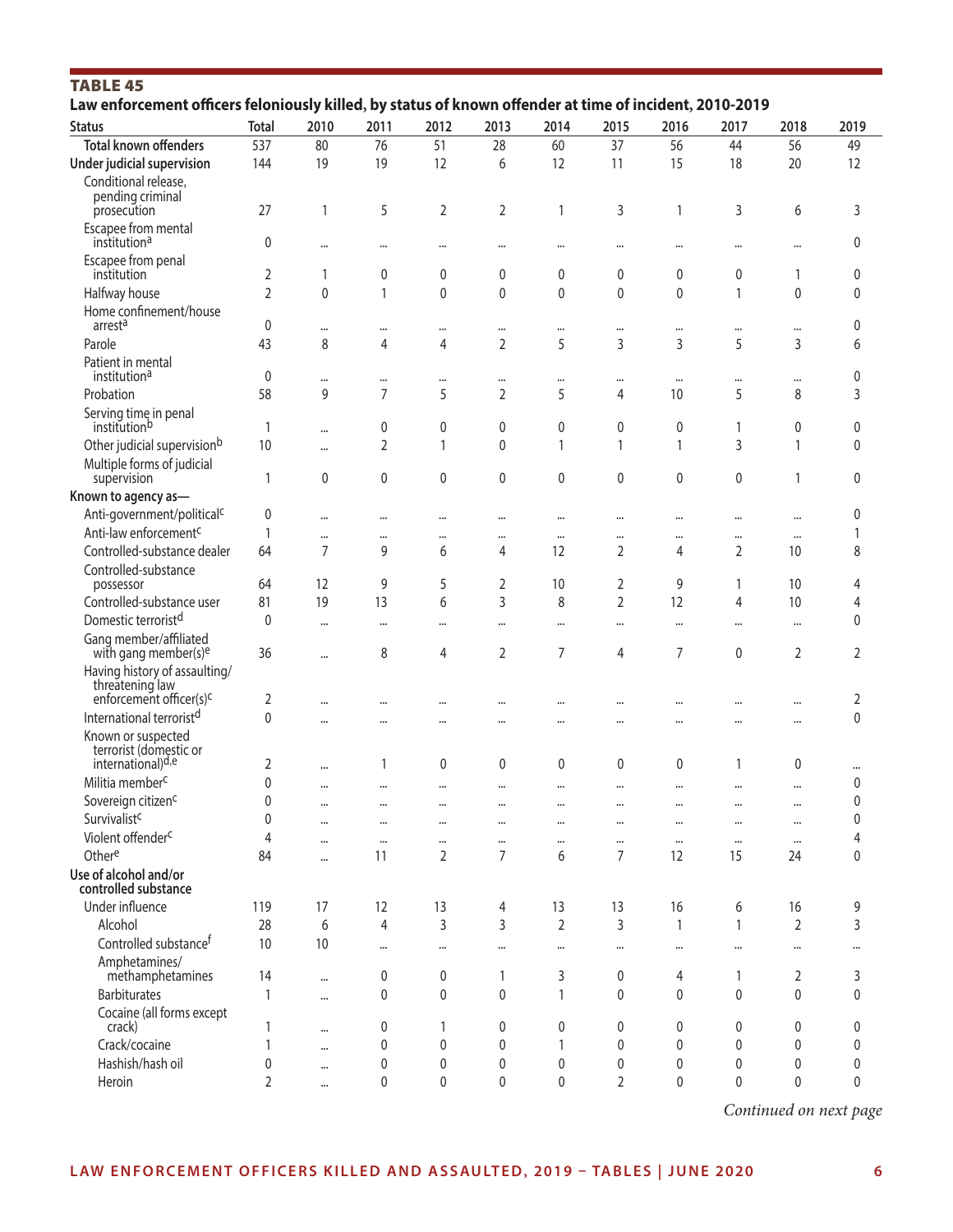| <b>TABLE 45</b><br>Law enforcement officers feloniously killed, by status of known offender at time of incident, 2010-2019 |                |           |              |                |                |                |                |                |              |                |              |
|----------------------------------------------------------------------------------------------------------------------------|----------------|-----------|--------------|----------------|----------------|----------------|----------------|----------------|--------------|----------------|--------------|
| <b>Status</b>                                                                                                              | <b>Total</b>   | 2010      | 2011         | 2012           | 2013           | 2014           | 2015           | 2016           | 2017         | 2018           | 2019         |
| <b>Total known offenders</b>                                                                                               | 537            | 80        | 76           | 51             | 28             | 60             | 37             | 56             | 44           | 56             | 49           |
| Under judicial supervision                                                                                                 | 144            | 19        | 19           | 12             | 6              | 12             | 11             | 15             | 18           | 20             | 12           |
| Conditional release,                                                                                                       |                |           |              |                |                |                |                |                |              |                |              |
| pending criminal                                                                                                           |                |           |              |                |                |                |                |                |              |                |              |
| prosecution                                                                                                                | 27             | 1         | 5            | $\overline{2}$ | 2              | 1              | 3              | 1              | 3            | 6              | 3            |
| Escapee from mental                                                                                                        |                |           |              |                |                |                |                |                |              |                |              |
| institution <sup>a</sup>                                                                                                   | 0              |           |              |                |                |                | $\cdots$       |                |              |                | 0            |
| Escapee from penal<br>institution                                                                                          | 2              | 1         | 0            | 0              | 0              | 0              | $\mathbf 0$    | 0              | 0            | 1              | 0            |
| Halfway house                                                                                                              | $\overline{2}$ | $\Omega$  | $\mathbf{1}$ | $\mathbf{0}$   | 0              | 0              | $\mathbf{0}$   | $\mathbf{0}$   | $\mathbf{1}$ | $\mathbf{0}$   | $\mathbf{0}$ |
| Home confinement/house                                                                                                     |                |           |              |                |                |                |                |                |              |                |              |
| arrest <sup>a</sup>                                                                                                        | 0              |           | $\cdots$     |                |                |                | $\cdots$       | $\cdots$       |              |                | 0            |
| Parole                                                                                                                     | 43             | 8         | 4            | 4              | $\overline{2}$ | 5              | 3              | 3              | 5            | 3              | 6            |
| Patient in mental                                                                                                          |                |           |              |                |                |                |                |                |              |                |              |
| institution <sup>a</sup>                                                                                                   | 0              | $\cdots$  | $\cdots$     |                |                | $\cdots$       | $\cdots$       | $\cdots$       |              | $\cdots$       | 0            |
| Probation                                                                                                                  | 58             | 9         | 7            | 5              | $\overline{2}$ | 5              | 4              | 10             | 5            | 8              | 3            |
| Serving time in penal                                                                                                      |                |           |              |                |                |                |                |                |              |                |              |
| institutionb                                                                                                               | 1              | $\cdots$  | 0            | 0              | 0              | 0              | 0              | 0              | 1            | 0              | 0            |
| Other judicial supervisionb                                                                                                | 10             | $\ddotsc$ | 2            | 1              | 0              | 1              | 1              | 1              | 3            | 1              | $\mathbf 0$  |
| Multiple forms of judicial                                                                                                 |                |           |              |                |                |                | $\mathbf{0}$   |                |              | 1              |              |
| supervision                                                                                                                | 1              | 0         | 0            | $\mathbf 0$    | 0              | 0              |                | $\mathbf{0}$   | 0            |                | 0            |
| Known to agency as-                                                                                                        |                |           |              |                |                |                |                |                |              |                |              |
| Anti-government/political <sup>c</sup>                                                                                     | 0              | $\cdots$  | $\cdots$     |                |                |                | $\cdots$       | $\cdots$       |              |                | 0            |
| Anti-law enforcement <sup>c</sup>                                                                                          | 1              |           | $\cdots$     |                |                | $\cdots$       | $\cdots$       | $\cdots$       |              | $\cdots$       |              |
| Controlled-substance dealer                                                                                                | 64             | 7         | 9            | 6              | 4              | 12             | 2              | 4              | 2            | 10             | 8            |
| Controlled-substance<br>possessor                                                                                          | 64             | 12        | 9            | 5              | 2              | 10             | 2              | 9              | 1            | 10             | 4            |
| Controlled-substance user                                                                                                  | 81             | 19        | 13           | 6              | 3              | 8              | $\overline{2}$ | 12             | 4            | 10             | 4            |
| Domestic terrorist <sup>d</sup>                                                                                            | $\mathbf{0}$   |           |              |                |                |                |                |                |              |                | 0            |
| Gang member/affiliated                                                                                                     |                | $\cdots$  | $\cdots$     |                |                | $\cdots$       | $\cdots$       | $\cdots$       | $\cdots$     | $\cdots$       |              |
| with gang member(s) <sup>e</sup>                                                                                           | 36             |           | 8            | 4              | 2              | 7              | 4              | $\overline{7}$ | 0            | 2              | 2            |
| Having history of assaulting/                                                                                              |                |           |              |                |                |                |                |                |              |                |              |
| threatening law                                                                                                            |                |           |              |                |                |                |                |                |              |                |              |
| enforcement officer(s) <sup>c</sup>                                                                                        | 2              |           | $\cdots$     |                |                |                | $\cdots$       | $\cdots$       |              |                | 2            |
| International terrorist <sup>d</sup>                                                                                       | 0              |           |              |                |                |                | $\cdots$       | $\cdots$       |              |                | $\mathbf 0$  |
| Known or suspected<br>terrorist (domestic or                                                                               |                |           |              |                |                |                |                |                |              |                |              |
| international) <sup>d,e</sup>                                                                                              | 2              |           | 1            | $\mathbf 0$    | $\mathbf{0}$   | 0              | $\mathbf{0}$   | $\mathbf{0}$   | 1            | 0              |              |
| Militia member <sup>c</sup>                                                                                                | 0              |           |              |                |                |                | $\cdots$       |                |              |                | 0            |
| Sovereign citizen <sup>c</sup>                                                                                             | 0              |           | $\cdots$     |                |                |                | $\cdots$       |                |              |                | 0            |
| Survivalist <sup>c</sup>                                                                                                   | 0              | $\cdots$  |              |                |                | $\cdots$       | $\cdots$       | $\cdots$       |              | $\cdots$       | 0            |
| Violent offender <sup>c</sup>                                                                                              | 4              |           |              |                |                | $\cdots$       | $\cdots$       | $\cdots$       | $\cdots$     | $\cdots$       | 4            |
| Othere                                                                                                                     | 84             | $\ddotsc$ | 11           | $\overline{2}$ | 7              | 6              | $\overline{7}$ | 12             | 15           | 24             | $\mathbf 0$  |
| Use of alcohol and/or                                                                                                      |                |           |              |                |                |                |                |                |              |                |              |
| controlled substance                                                                                                       |                |           |              |                |                |                |                |                |              |                |              |
| Under influence                                                                                                            | 119            | 17        | 12           | 13             | 4              | 13             | 13             | 16             | 6            | 16             | 9            |
| Alcohol                                                                                                                    | 28             | 6         | 4            | $\mathsf 3$    | 3              | $\overline{2}$ | 3              | $\mathbf{1}$   | $\mathbf{1}$ | $\overline{2}$ | 3            |
| Controlled substance <sup>f</sup>                                                                                          | 10             | 10        | $\cdots$     |                |                |                | $\cdots$       | $\cdots$       |              |                | $\cdots$     |
| Amphetamines/                                                                                                              |                |           |              |                |                |                |                |                |              |                |              |
| methamphetamines                                                                                                           | 14             | $\cdots$  | 0            | $\mathbf 0$    | 1              | 3              | 0              | 4              | 1            | 2              | 3            |
| <b>Barbiturates</b>                                                                                                        | 1              | $\cdots$  | 0            | $\mathbf 0$    | 0              | 1              | $\mathbf{0}$   | 0              | $\mathbf{0}$ | 0              | $\mathbf 0$  |
| Cocaine (all forms except                                                                                                  |                |           |              |                |                |                |                |                |              |                |              |
| crack)                                                                                                                     | 1              | $\cdots$  | 0            | 1              | 0              | 0              | 0              | 0              | 0            | 0              | 0            |
| Crack/cocaine                                                                                                              | 1              | $\cdots$  | $\mathbf 0$  | 0              | 0              | 1              | $\mathbf 0$    | $\mathbf{0}$   | 0            | 0              | 0            |
| Hashish/hash oil                                                                                                           | 0              |           | 0            | 0              | 0              | 0              | 0              | $\mathbf 0$    | 0            | 0              | 0            |
| Heroin                                                                                                                     | 2              |           | 0            | $\pmb{0}$      | 0              | 0              | $\overline{2}$ | 0              | 0            | 0              | $\mathbf 0$  |

*Continued on next page*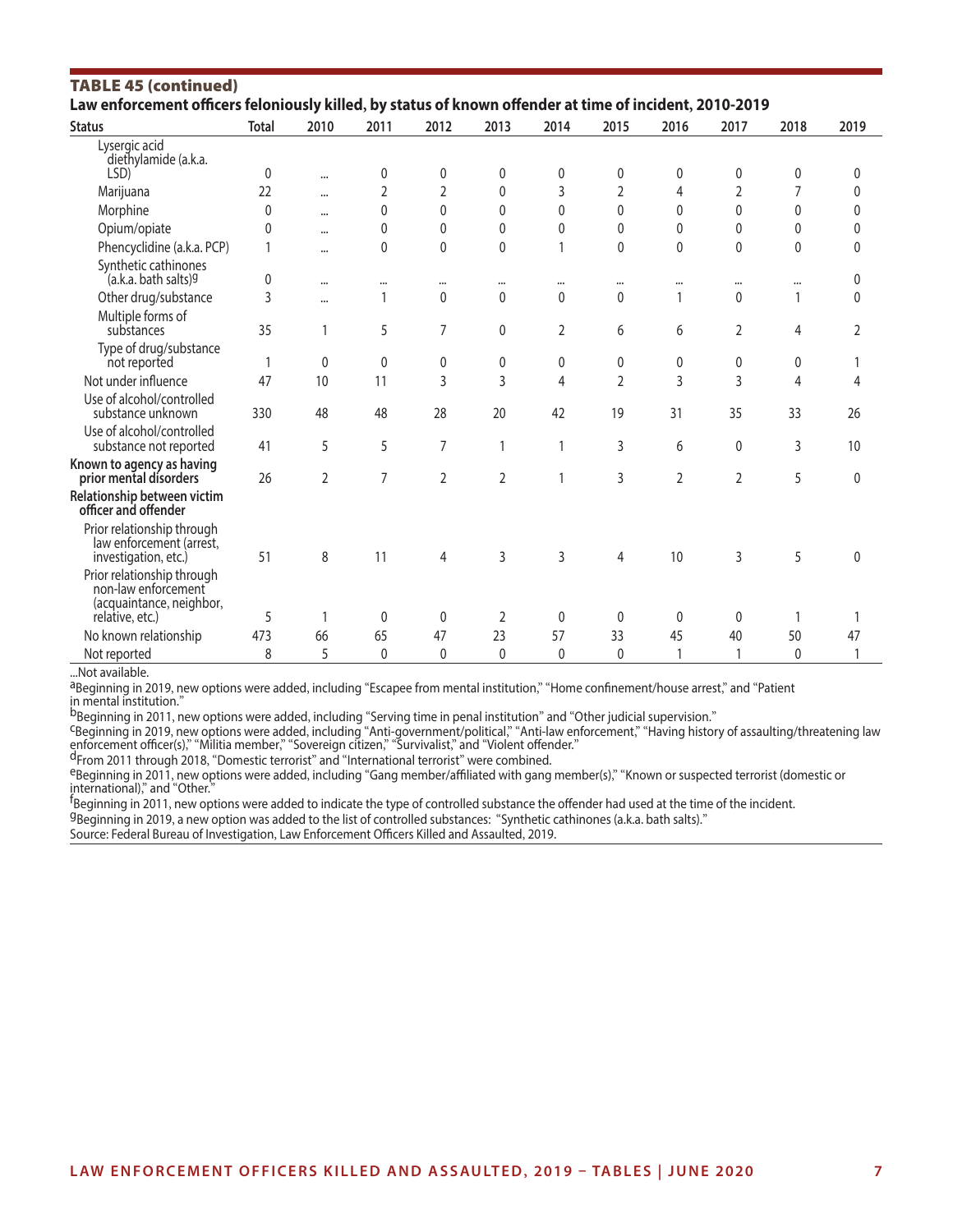| <b>TABLE 45 (continued)</b><br>Law enforcement officers feloniously killed, by status of known offender at time of incident, 2010-2019 |              |                |                |                |                |              |                |                |                |          |      |
|----------------------------------------------------------------------------------------------------------------------------------------|--------------|----------------|----------------|----------------|----------------|--------------|----------------|----------------|----------------|----------|------|
| <b>Status</b>                                                                                                                          | <b>Total</b> | 2010           | 2011           | 2012           | 2013           | 2014         | 2015           | 2016           | 2017           | 2018     | 2019 |
| Lysergic acid<br>diethylamide (a.k.a.<br>LSD)                                                                                          | 0            |                | 0              | 0              | 0              | 0            | 0              | 0              | 0              | 0        | 0    |
| Marijuana                                                                                                                              | 22           | $\cdots$       | $\overline{2}$ | $\overline{2}$ | 0              | 3            | 2              | 4              | $\overline{2}$ | 7        | 0    |
|                                                                                                                                        |              |                | $\Omega$       | $\Omega$       | $\Omega$       | $\Omega$     | $\Omega$       | $\Omega$       | $\Omega$       | $\Omega$ |      |
| Morphine                                                                                                                               | $\mathbf 0$  | $\cdots$       |                |                |                |              |                |                |                |          | 0    |
| Opium/opiate                                                                                                                           | 0            | $\cdots$       | 0              | 0              | $\mathbf{0}$   | 0            | $\mathbf{0}$   | $\mathbf{0}$   | 0              | 0        | 0    |
| Phencyclidine (a.k.a. PCP)                                                                                                             | 1            |                | 0              | $\pmb{0}$      | 0              |              | $\mathbf 0$    | $\pmb{0}$      | $\mathbf 0$    | 0        | 0    |
| Synthetic cathinones<br>(a.k.a. bath salts) <sup>g</sup>                                                                               | 0            | $\cdots$       |                | $\cdots$       |                |              | $\cdots$       | $\cdots$       | $\cdots$       | $\cdots$ | 0    |
| Other drug/substance                                                                                                                   | 3            |                | 1              | $\mathbf 0$    | 0              | 0            | $\mathbf{0}$   | 1              | $\Omega$       | 1        | 0    |
| Multiple forms of<br>substances                                                                                                        | 35           | 1              | 5              | 7              | 0              | 2            | 6              | 6              | 2              | 4        | 2    |
| Type of drug/substance<br>not reported                                                                                                 | 1            | $\mathbf{0}$   | 0              | 0              | 0              | 0            | 0              | 0              | $\mathbf{0}$   | 0        |      |
| Not under influence                                                                                                                    | 47           | 10             | 11             | 3              | 3              | 4            | $\overline{2}$ | 3              | 3              | 4        | 4    |
| Use of alcohol/controlled<br>substance unknown                                                                                         | 330          | 48             | 48             | 28             | 20             | 42           | 19             | 31             | 35             | 33       | 26   |
| Use of alcohol/controlled<br>substance not reported                                                                                    | 41           | 5              | 5              | 7              | 1              | 1            | 3              | 6              | $\mathbf{0}$   | 3        | 10   |
| Known to agency as having<br>prior mental disorders                                                                                    | 26           | $\overline{2}$ | 7              | $\overline{2}$ | $\overline{2}$ |              | 3              | $\overline{2}$ | $\overline{2}$ | 5        | 0    |
| Relationship between victim<br>officer and offender                                                                                    |              |                |                |                |                |              |                |                |                |          |      |
| Prior relationship through<br>law enforcement (arrest,<br>investigation, etc.)                                                         | 51           | 8              | 11             | 4              | $\overline{3}$ | 3            | 4              | 10             | 3              | 5        | 0    |
| Prior relationship through<br>non-law enforcement<br>(acquaintance, neighbor,<br>relative, etc.)                                       | 5            | 1              | $\mathbf{0}$   | $\mathbf{0}$   | $\overline{2}$ | $\mathbf{0}$ | $\mathbf 0$    | $\mathbf 0$    | $\Omega$       | 1        | 1    |
|                                                                                                                                        | 473          | 66             | 65             | 47             | 23             | 57           | 33             | 45             | 40             | 50       | 47   |
| No known relationship                                                                                                                  |              |                |                |                |                |              |                | 1              |                |          |      |
| Not reported                                                                                                                           | 8            | 5              | 0              | $\mathbf{0}$   | 0              | 0            | 0              |                |                | 0        |      |

...Not available.

aBeginning in 2019, new options were added, including "Escapee from mental institution," "Home confinement/house arrest," and "Patient in mental institution."<br><sup>b</sup>Beginning in 2011, new options were added, including "Serving time in penal institution" and "Other judicial supervision."

<sup>C</sup>Beginning in 2019, new options were added, including "Anti-government/political," "Anti-law enforcement," "Having history of assaulting/threatening law enforcement officer(s)," "Militia member," "Sovereign citizen," "Su

eBeginning in 2011, new options were added, including "Gang member/affiliated with gang member(s)," "Known or suspected terrorist (domestic or international)," and "Other."

<sup>f</sup>Beginning in 2011, new options were added to indicate the type of controlled substance the offender had used at the time of the incident.

gBeginning in 2019, a new option was added to the list of controlled substances: "Synthetic cathinones (a.k.a. bath salts)."

Source: Federal Bureau of Investigation, Law Enforcement Officers Killed and Assaulted, 2019.